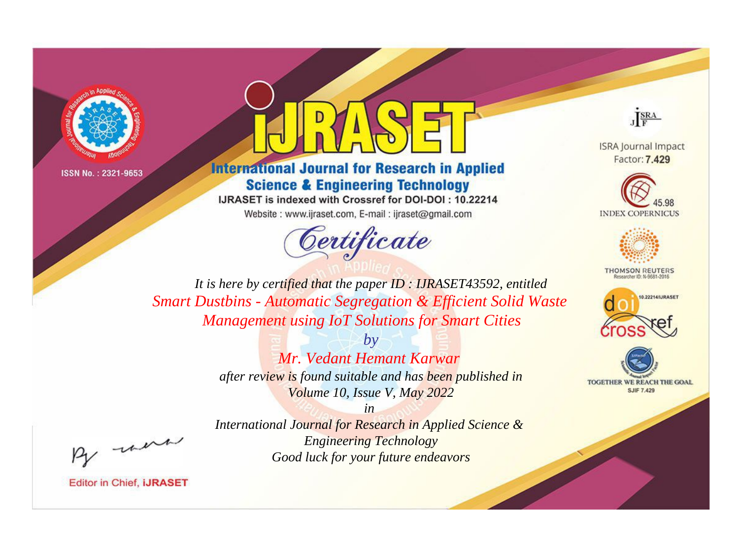



# **International Journal for Research in Applied Science & Engineering Technology**

IJRASET is indexed with Crossref for DOI-DOI: 10.22214 Website: www.ijraset.com, E-mail: ijraset@gmail.com



JERA

**ISRA Journal Impact** Factor: 7.429





**THOMSON REUTERS** 



TOGETHER WE REACH THE GOAL **SJIF 7.429** 

*It is here by certified that the paper ID : IJRASET43592, entitled Smart Dustbins - Automatic Segregation & Efficient Solid Waste Management using IoT Solutions for Smart Cities*

> *by Mr. Vedant Hemant Karwar after review is found suitable and has been published in Volume 10, Issue V, May 2022*

, un

*International Journal for Research in Applied Science & Engineering Technology Good luck for your future endeavors*

*in*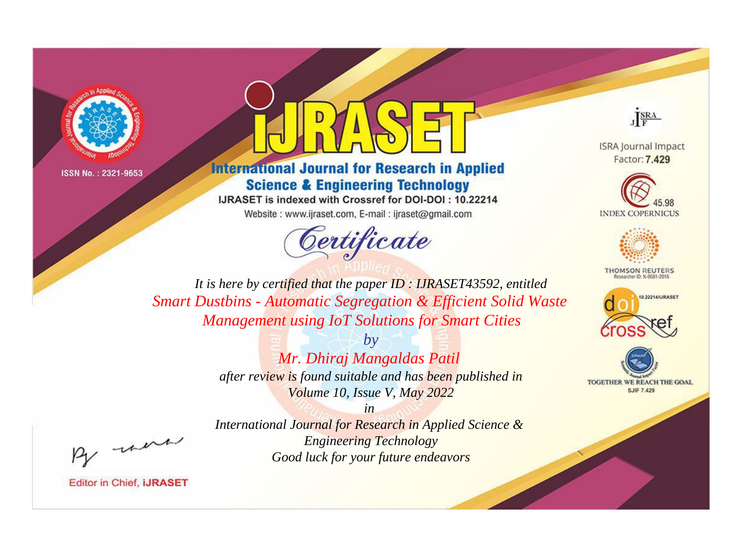



# **International Journal for Research in Applied Science & Engineering Technology**

IJRASET is indexed with Crossref for DOI-DOI: 10.22214 Website: www.ijraset.com, E-mail: ijraset@gmail.com



JERA

**ISRA Journal Impact** Factor: 7.429





**THOMSON REUTERS** 



TOGETHER WE REACH THE GOAL **SJIF 7.429** 

*It is here by certified that the paper ID : IJRASET43592, entitled Smart Dustbins - Automatic Segregation & Efficient Solid Waste Management using IoT Solutions for Smart Cities*

> *by Mr. Dhiraj Mangaldas Patil after review is found suitable and has been published in Volume 10, Issue V, May 2022*

, un

*International Journal for Research in Applied Science & Engineering Technology Good luck for your future endeavors*

*in*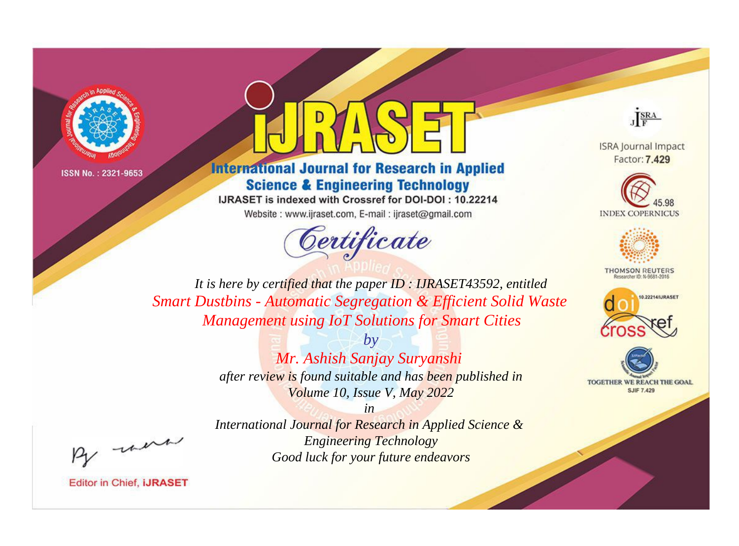



# **International Journal for Research in Applied Science & Engineering Technology**

IJRASET is indexed with Crossref for DOI-DOI: 10.22214 Website: www.ijraset.com, E-mail: ijraset@gmail.com



JERA

**ISRA Journal Impact** Factor: 7.429





**THOMSON REUTERS** 



TOGETHER WE REACH THE GOAL **SJIF 7.429** 

*It is here by certified that the paper ID : IJRASET43592, entitled Smart Dustbins - Automatic Segregation & Efficient Solid Waste Management using IoT Solutions for Smart Cities*

> *by Mr. Ashish Sanjay Suryanshi after review is found suitable and has been published in Volume 10, Issue V, May 2022*

, un

*International Journal for Research in Applied Science & Engineering Technology Good luck for your future endeavors*

*in*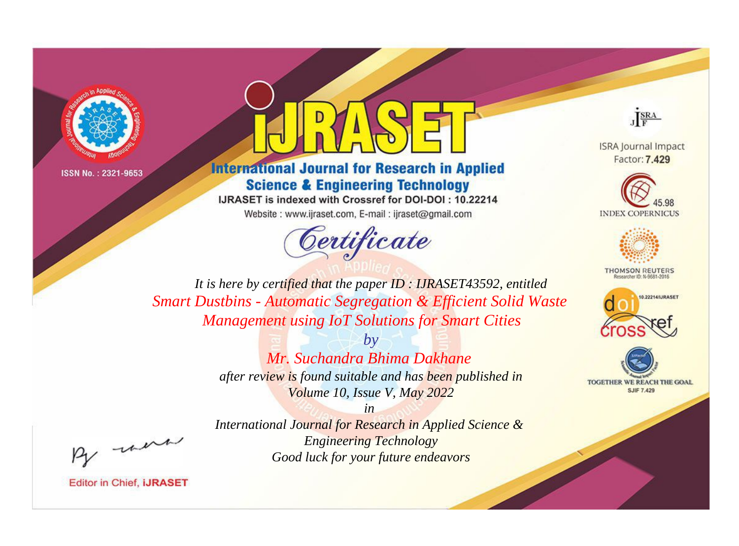



# **International Journal for Research in Applied Science & Engineering Technology**

IJRASET is indexed with Crossref for DOI-DOI: 10.22214 Website: www.ijraset.com, E-mail: ijraset@gmail.com





**ISRA Journal Impact** Factor: 7.429





**THOMSON REUTERS** 



TOGETHER WE REACH THE GOAL **SJIF 7.429** 

*It is here by certified that the paper ID : IJRASET43592, entitled Smart Dustbins - Automatic Segregation & Efficient Solid Waste Management using IoT Solutions for Smart Cities*

> *by Mr. Suchandra Bhima Dakhane after review is found suitable and has been published in Volume 10, Issue V, May 2022*

*in International Journal for Research in Applied Science & Engineering Technology Good luck for your future endeavors*

, un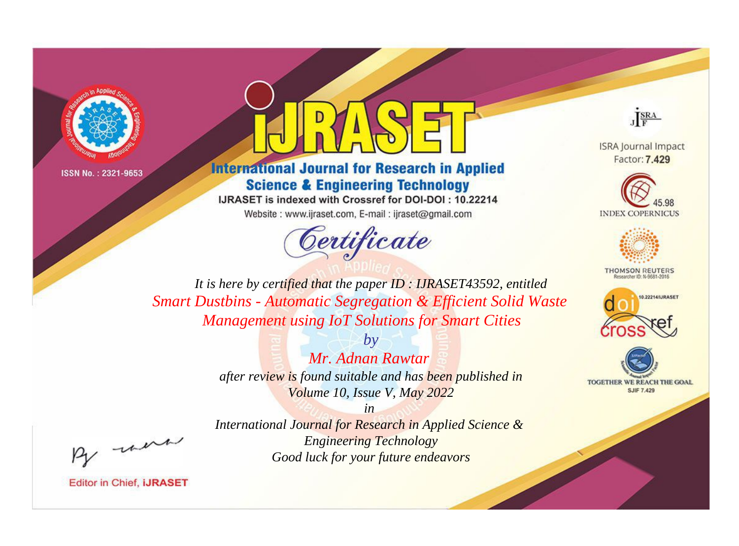



# **International Journal for Research in Applied Science & Engineering Technology**

IJRASET is indexed with Crossref for DOI-DOI: 10.22214 Website: www.ijraset.com, E-mail: ijraset@gmail.com





**ISRA Journal Impact** Factor: 7.429





**THOMSON REUTERS** 



TOGETHER WE REACH THE GOAL **SJIF 7.429** 

*It is here by certified that the paper ID : IJRASET43592, entitled Smart Dustbins - Automatic Segregation & Efficient Solid Waste Management using IoT Solutions for Smart Cities*

> *by Mr. Adnan Rawtar after review is found suitable and has been published in Volume 10, Issue V, May 2022*

, un

*International Journal for Research in Applied Science & Engineering Technology Good luck for your future endeavors*

*in*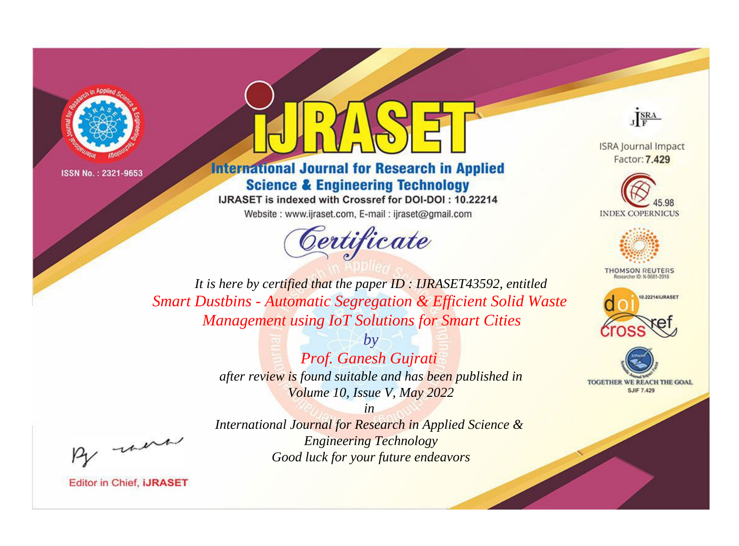



# **International Journal for Research in Applied Science & Engineering Technology**

IJRASET is indexed with Crossref for DOI-DOI: 10.22214 Website: www.ijraset.com, E-mail: ijraset@gmail.com



JERA

**ISRA Journal Impact** Factor: 7.429





**THOMSON REUTERS** 



TOGETHER WE REACH THE GOAL **SJIF 7.429** 

*It is here by certified that the paper ID : IJRASET43592, entitled Smart Dustbins - Automatic Segregation & Efficient Solid Waste Management using IoT Solutions for Smart Cities*

> *by Prof. Ganesh Gujrati after review is found suitable and has been published in Volume 10, Issue V, May 2022*

> > *in*

*International Journal for Research in Applied Science & Engineering Technology Good luck for your future endeavors*

, un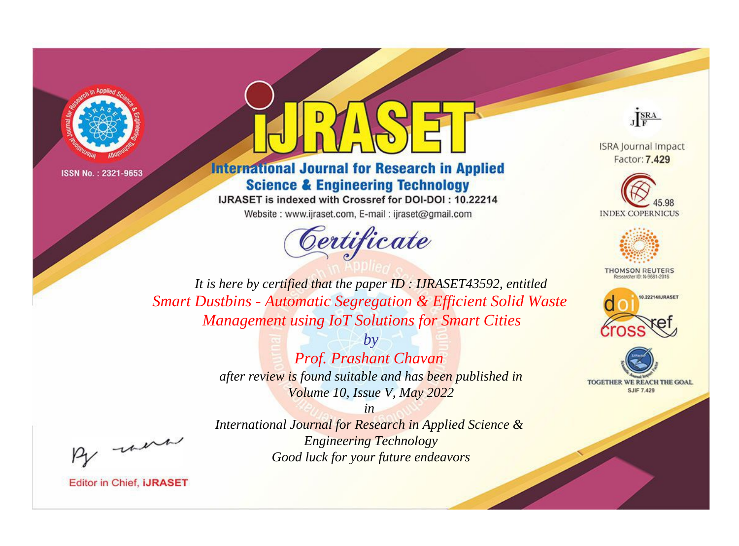



# **International Journal for Research in Applied Science & Engineering Technology**

IJRASET is indexed with Crossref for DOI-DOI: 10.22214 Website: www.ijraset.com, E-mail: ijraset@gmail.com





**ISRA Journal Impact** Factor: 7.429





**THOMSON REUTERS** 



TOGETHER WE REACH THE GOAL **SJIF 7.429** 

*It is here by certified that the paper ID : IJRASET43592, entitled Smart Dustbins - Automatic Segregation & Efficient Solid Waste Management using IoT Solutions for Smart Cities*

> *by Prof. Prashant Chavan after review is found suitable and has been published in Volume 10, Issue V, May 2022*

> > *in*

*International Journal for Research in Applied Science & Engineering Technology Good luck for your future endeavors*

, un